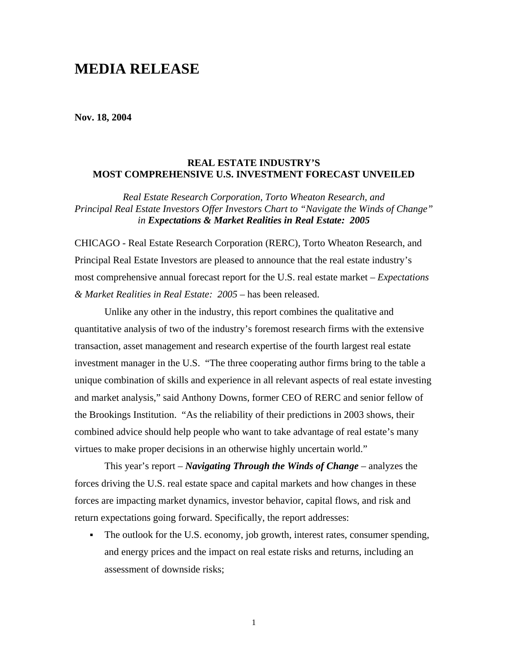# **MEDIA RELEASE**

**Nov. 18, 2004** 

## **REAL ESTATE INDUSTRY'S MOST COMPREHENSIVE U.S. INVESTMENT FORECAST UNVEILED**

*Real Estate Research Corporation, Torto Wheaton Research, and Principal Real Estate Investors Offer Investors Chart to "Navigate the Winds of Change" in Expectations & Market Realities in Real Estate: 2005*

CHICAGO - Real Estate Research Corporation (RERC), Torto Wheaton Research, and Principal Real Estate Investors are pleased to announce that the real estate industry's most comprehensive annual forecast report for the U.S. real estate market – *Expectations & Market Realities in Real Estate: 2005* – has been released.

Unlike any other in the industry, this report combines the qualitative and quantitative analysis of two of the industry's foremost research firms with the extensive transaction, asset management and research expertise of the fourth largest real estate investment manager in the U.S. "The three cooperating author firms bring to the table a unique combination of skills and experience in all relevant aspects of real estate investing and market analysis," said Anthony Downs, former CEO of RERC and senior fellow of the Brookings Institution. "As the reliability of their predictions in 2003 shows, their combined advice should help people who want to take advantage of real estate's many virtues to make proper decisions in an otherwise highly uncertain world."

This year's report – *Navigating Through the Winds of Change* – analyzes the forces driving the U.S. real estate space and capital markets and how changes in these forces are impacting market dynamics, investor behavior, capital flows, and risk and return expectations going forward. Specifically, the report addresses:

• The outlook for the U.S. economy, job growth, interest rates, consumer spending, and energy prices and the impact on real estate risks and returns, including an assessment of downside risks;

1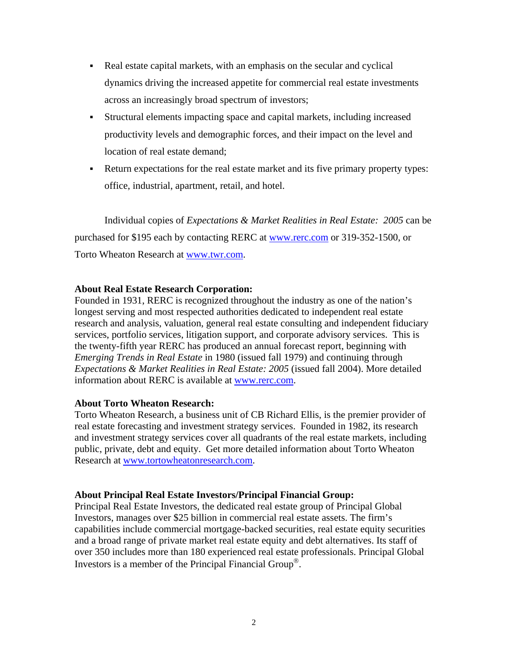- Real estate capital markets, with an emphasis on the secular and cyclical dynamics driving the increased appetite for commercial real estate investments across an increasingly broad spectrum of investors;
- Structural elements impacting space and capital markets, including increased productivity levels and demographic forces, and their impact on the level and location of real estate demand;
- Return expectations for the real estate market and its five primary property types: office, industrial, apartment, retail, and hotel.

Individual copies of *Expectations & Market Realities in Real Estate: 2005* can be purchased for \$195 each by contacting RERC at [www.rerc.com](http://www.rerc.com/) or 319-352-1500, or Torto Wheaton Research at [www.twr.com](http://www.twr.com/).

## **About Real Estate Research Corporation:**

Founded in 1931, RERC is recognized throughout the industry as one of the nation's longest serving and most respected authorities dedicated to independent real estate research and analysis, valuation, general real estate consulting and independent fiduciary services, portfolio services, litigation support, and corporate advisory services. This is the twenty-fifth year RERC has produced an annual forecast report, beginning with *Emerging Trends in Real Estate* in 1980 (issued fall 1979) and continuing through *Expectations & Market Realities in Real Estate: 2005* (issued fall 2004). More detailed information about RERC is available at [www.rerc.com.](http://www.rerc.com/)

## **About Torto Wheaton Research:**

Torto Wheaton Research, a business unit of CB Richard Ellis, is the premier provider of real estate forecasting and investment strategy services. Founded in 1982, its research and investment strategy services cover all quadrants of the real estate markets, including public, private, debt and equity. Get more detailed information about Torto Wheaton Research at [www.tortowheatonresearch.com.](http://www.tortowheatonresearch.com/)

## **About Principal Real Estate Investors/Principal Financial Group:**

Principal Real Estate Investors, the dedicated real estate group of Principal Global Investors, manages over \$25 billion in commercial real estate assets. The firm's capabilities include commercial mortgage-backed securities, real estate equity securities and a broad range of private market real estate equity and debt alternatives. Its staff of over 350 includes more than 180 experienced real estate professionals. Principal Global Investors is a member of the Principal Financial Group®.